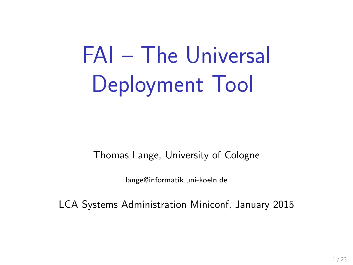# FAI – The Universal Deployment Tool

Thomas Lange, University of Cologne

lange@informatik.uni-koeln.de

LCA Systems Administration Miniconf, January 2015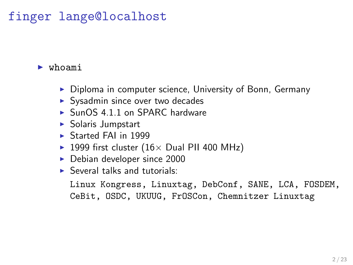#### finger lange@localhost

#### ► whoami

- ▶ Diploma in computer science, University of Bonn, Germany
- ▶ Sysadmin since over two decades
- ► SunOS 4.1.1 on SPARC hardware
- ▶ Solaris Jumpstart
- ▶ Started FAI in 1999
- ▶ 1999 first cluster  $(16×$  Dual PII 400 MHz)
- $\blacktriangleright$  Debian developer since 2000
- $\blacktriangleright$  Several talks and tutorials:

Linux Kongress, Linuxtag, DebConf, SANE, LCA, FOSDEM, CeBit, OSDC, UKUUG, FrOSCon, Chemnitzer Linuxtag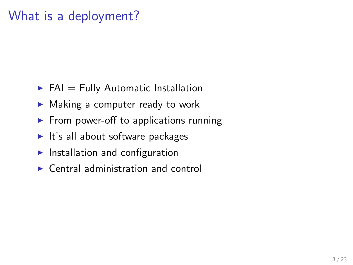#### What is a deployment?

- $\blacktriangleright$  FAI = Fully Automatic Installation
- $\blacktriangleright$  Making a computer ready to work
- $\blacktriangleright$  From power-off to applications running
- $\blacktriangleright$  It's all about software packages
- $\blacktriangleright$  Installation and configuration
- $\triangleright$  Central administration and control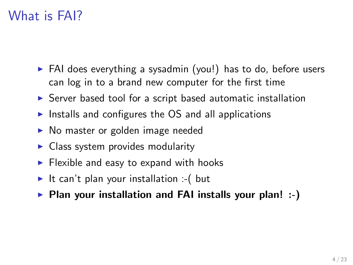#### What is FAI?

- ► FAI does everything a sysadmin (you!) has to do, before users can log in to a brand new computer for the first time
- ▶ Server based tool for a script based automatic installation
- $\triangleright$  Installs and configures the OS and all applications
- ▶ No master or golden image needed
- $\triangleright$  Class system provides modularity
- $\blacktriangleright$  Flexible and easy to expand with hooks
- It can't plan your installation :-( but
- ▶ Plan your installation and FAI installs your plan! :-)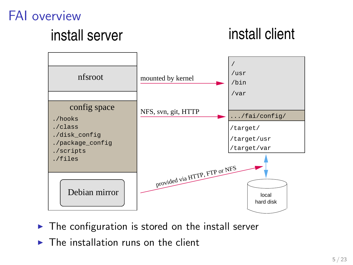#### FAI overview

# install server install client



- $\blacktriangleright$  The configuration is stored on the install server
- $\triangleright$  The installation runs on the client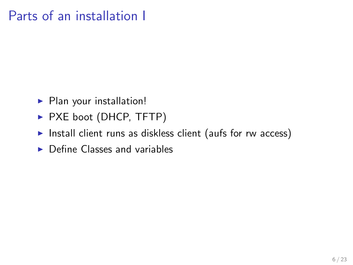#### Parts of an installation I

- ▶ Plan your installation!
- ▶ PXE boot (DHCP, TFTP)
- ▶ Install client runs as diskless client (aufs for rw access)
- $\triangleright$  Define Classes and variables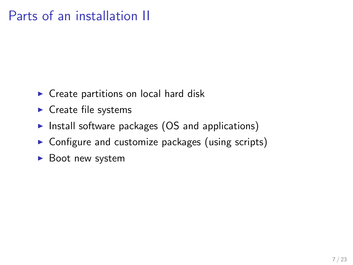#### Parts of an installation II

- $\triangleright$  Create partitions on local hard disk
- $\blacktriangleright$  Create file systems
- $\triangleright$  Install software packages (OS and applications)
- $\triangleright$  Configure and customize packages (using scripts)
- ► Boot new system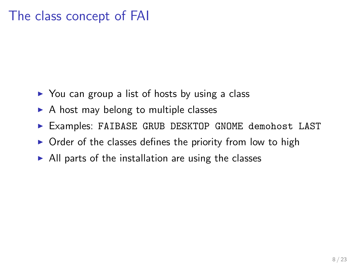#### The class concept of FAI

- $\triangleright$  You can group a list of hosts by using a class
- $\triangleright$  A host may belong to multiple classes
- ▶ Examples: FAIBASE GRUB DESKTOP GNOME demohost LAST
- $\triangleright$  Order of the classes defines the priority from low to high
- $\triangleright$  All parts of the installation are using the classes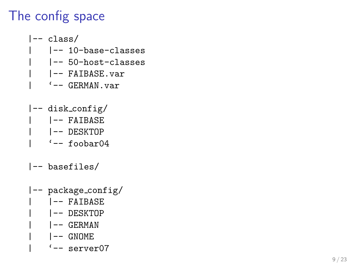## The config space

- |-- class/
	- | |-- 10-base-classes
	- | |-- 50-host-classes
	- | |-- FAIBASE.var
		- $'$ -- GERMAN.var
- |-- disk config/
	- | |-- FAIBASE
	- | |-- DESKTOP
		- $'-$  foobar $04$
- |-- basefiles/
- |-- package config/
	- | |-- FAIBASE
		- | |-- DESKTOP
		- | |-- GERMAN
		- | |-- GNOME
		- $' = -$  server $07$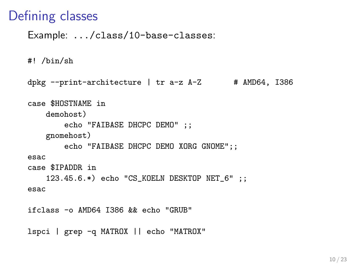#### Defining classes

Example: .../class/10-base-classes:

#! /bin/sh

```
dpkg --print-architecture \mid tr a-z A-Z # AMD64, I386
case $HOSTNAME in
   demohost)
        echo "FAIBASE DHCPC DEMO" ;;
    gnomehost)
        echo "FAIBASE DHCPC DEMO XORG GNOME";;
esac
case $IPADDR in
    123.45.6.*) echo "CS_KOELN DESKTOP NET_6" ;;
esac
ifclass -o AMD64 I386 && echo "GRUB"
```
lspci | grep -q MATROX || echo "MATROX"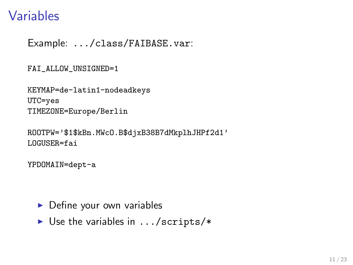#### Variables

Example: .../class/FAIBASE.var:

FAI\_ALLOW\_UNSIGNED=1

KEYMAP=de-latin1-nodeadkeys  $UTC = yes$ TIMEZONE=Europe/Berlin

ROOTPW='\$1\$kBn.MWcO.B\$djxB38B7dMkplhJHPf2d1' LOGUSER=fai

YPDOMAIN=dept-a

- Define your own variables
- $\triangleright$  Use the variables in .../scripts/\*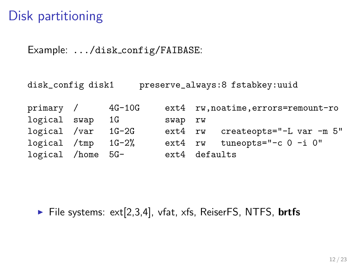#### Disk partitioning

Example: .../disk config/FAIBASE:

disk\_config disk1 preserve\_always:8 fstabkey:uuid

primary / 4G-10G ext4 rw,noatime,errors=remount-ro logical swap 1G swap rw logical /var 1G-2G ext4 rw createopts="-L var -m 5" logical /tmp 1G-2% ext4 rw tuneopts="-c 0 -i 0" logical /home 5G- ext4 defaults

 $\blacktriangleright$  File systems: ext[2,3,4], vfat, xfs, ReiserFS, NTFS, **brtfs**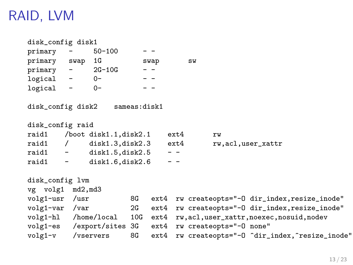### RAID, LVM

| disk_config disk1                    |                          |                                |    |                   |          |                                                        |                                                                          |
|--------------------------------------|--------------------------|--------------------------------|----|-------------------|----------|--------------------------------------------------------|--------------------------------------------------------------------------|
| primary                              | <b>Contract Contract</b> | 50-100                         |    | $ -$              |          |                                                        |                                                                          |
| primary swap                         |                          | 1G                             |    | swap              |          | SW                                                     |                                                                          |
|                                      |                          | $primary - 2G-10G$             |    | $ -$              |          |                                                        |                                                                          |
| $logical - 0-$                       |                          |                                |    | $\qquad \qquad -$ |          |                                                        |                                                                          |
| logical -                            |                          | $0-$                           |    |                   |          |                                                        |                                                                          |
|                                      |                          | disk_config disk2 sameas:disk1 |    |                   |          |                                                        |                                                                          |
| disk_config raid                     |                          |                                |    |                   |          |                                                        |                                                                          |
|                                      |                          | raid1 /boot disk1.1,disk2.1    |    |                   | $ext{4}$ | rw                                                     |                                                                          |
|                                      |                          | raid1 / disk1.3,disk2.3 ext4   |    |                   |          | rw, acl, user_xattr                                    |                                                                          |
| $raid1 - dist1.5, disk2.5$           |                          |                                |    |                   | $ -$     |                                                        |                                                                          |
|                                      |                          | raid1 $-$ disk1.6, disk2.6     |    |                   | $ -$     |                                                        |                                                                          |
| disk_config lvm<br>vg volg1 md2, md3 |                          |                                |    |                   |          |                                                        |                                                                          |
| volg1-usr /usr                       |                          |                                |    |                   |          |                                                        | 8G ext4 rw createopts="-0 dir_index, resize_inode"                       |
| volg1-var /var                       |                          |                                | 2G |                   |          |                                                        | ext4 rw createopts="-0 dir_index, resize_inode"                          |
|                                      |                          |                                |    |                   |          |                                                        | volg1-hl /home/local 10G ext4 rw, acl, user_xattr, noexec, nosuid, nodev |
|                                      |                          |                                |    |                   |          | volg1-es /export/sites 3G ext4 rw createopts="-0 none" |                                                                          |
| volg1-v /vservers                    |                          |                                | 8G | $ext{4}$          |          |                                                        | rw createopts="-0 ^dir_index, ^resize_inode"                             |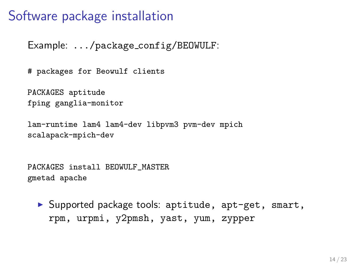#### Software package installation

Example: .../package config/BEOWULF:

# packages for Beowulf clients

PACKAGES aptitude fping ganglia-monitor

```
lam-runtime lam4 lam4-dev libpvm3 pvm-dev mpich
scalapack-mpich-dev
```
PACKAGES install BEOWULF\_MASTER gmetad apache

▶ Supported package tools: aptitude, apt-get, smart, rpm, urpmi, y2pmsh, yast, yum, zypper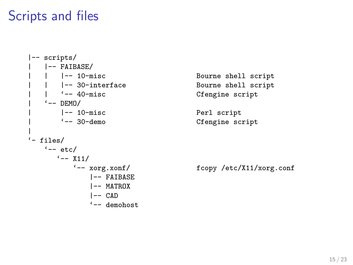#### Scripts and files

```
|-- scripts/
   |-- FAIBASE/<br>|   |-- 10-misc
   | |- 30-interface Bourne shell script
    | | '-- 40-misc Cfengine script
  ' -- DEMO/
     |-- 10-misc Perl script
     | '-- 30-demo Cfengine script
|
'- files/
   '-- etc/
     '-- X11/<br>'-- xorg.xonf/
            |-- FAIBASE
            |-- MATROX
            |--- CAD
            '-- demohost.
```
Bourne shell script

fcopy /etc/X11/xorg.conf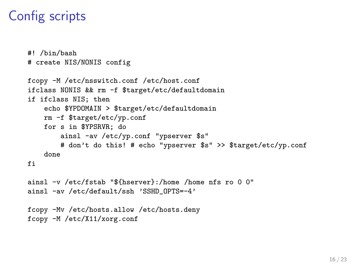#### Config scripts

```
#! /bin/bash
# create NIS/NONIS config
fcopy -M /etc/nsswitch.conf /etc/host.conf
ifclass NONIS && rm -f $target/etc/defaultdomain
if ifclass NIS; then
    echo $YPDOMAIN > $target/etc/defaultdomain
   rm -f $target/etc/yp.conf
   for s in $YPSRVR: do
        ainsl -av /etc/yp.conf "ypserver $s"
        # don't do this! # echo "ypserver $s" >> $target/etc/yp.conf
   done
fi
ainsl -v /etc/fstab "${hserver}:/home /home nfs ro 0 0"
ainsl -av /etc/default/ssh 'SSHD OPTS=-4'
fcopy -Mv /etc/hosts.allow /etc/hosts.deny
fcopy -M /etc/X11/xorg.conf
```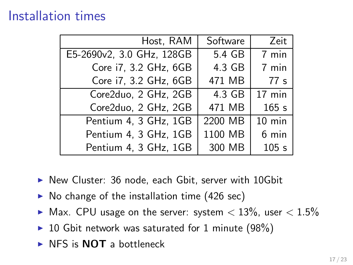#### Installation times

| Host, RAM                 | Software | Zeit     |
|---------------------------|----------|----------|
| E5-2690v2, 3.0 GHz, 128GB | 5.4 GB   | 7 min    |
| Core i7, 3.2 GHz, 6GB     | 4.3 GB   | 7 min    |
| Core i7, 3.2 GHz, 6GB     | 471 MB   | 77 s     |
| Core2duo, 2 GHz, 2GB      | 4.3 GB   | 17 min   |
| Core2duo, 2 GHz, 2GB      | 471 MB   | 165s     |
| Pentium 4, 3 GHz, 1GB     | 2200 MB  | $10$ min |
| Pentium 4, 3 GHz, 1GB     | 1100 MB  | 6 min    |
| Pentium 4, 3 GHz, 1GB     | 300 MB   | 105s     |

- ▶ New Cluster: 36 node, each Gbit, server with 10Gbit
- $\triangleright$  No change of the installation time (426 sec)
- ▶ Max. CPU usage on the server: system  $\langle 13\% \rangle$ , user  $\langle 1.5\% \rangle$
- ▶ 10 Gbit network was saturated for 1 minute  $(98%)$
- $\triangleright$  NFS is **NOT** a bottleneck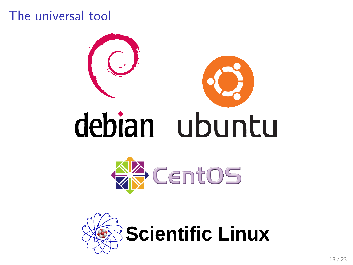#### The universal tool



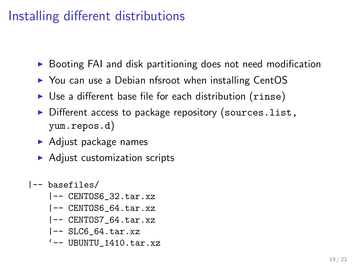### Installing different distributions

- ▶ Booting FAI and disk partitioning does not need modification
- ► You can use a Debian nfsroot when installing CentOS
- ► Use a different base file for each distribution (rinse)
- ▶ Different access to package repository (sources.list, yum.repos.d)
- $\blacktriangleright$  Adjust package names
- $\blacktriangleright$  Adjust customization scripts
- |-- basefiles/
	- |-- CENTOS6\_32.tar.xz
	- |-- CENTOS6\_64.tar.xz
	- |-- CENTOS7\_64.tar.xz
	- |-- SLC6\_64.tar.xz
	- $'-$  UBUNTU 1410.tar.xz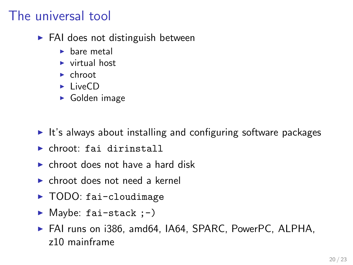#### The universal tool

- $\blacktriangleright$  FAI does not distinguish between
	- $\blacktriangleright$  bare metal
	- $\triangleright$  virtual host
	- $\blacktriangleright$  chroot
	- $\blacktriangleright$  LiveCD
	- ► Golden image
- $\triangleright$  It's always about installing and configuring software packages
- ▶ chroot: fai dirinstall
- $\triangleright$  chroot does not have a hard disk
- $\triangleright$  chroot does not need a kernel
- ► TODO: fai-cloudimage
- $\blacktriangleright$  Maybe: fai-stack  $;-$ )
- ▶ FAI runs on i386, amd64, IA64, SPARC, PowerPC, ALPHA, z10 mainframe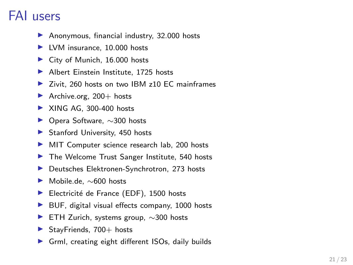#### FAI users

- ▶ Anonymous, financial industry, 32.000 hosts
- ▶ LVM insurance, 10.000 hosts
- ▶ City of Munich, 16.000 hosts
- ▶ Albert Einstein Institute, 1725 hosts
- ▶ Zivit, 260 hosts on two IBM z10 EC mainframes
- $\blacktriangleright$  Archive.org, 200+ hosts
- $\blacktriangleright$  XING AG, 300-400 hosts
- ▶ Opera Software, ∼300 hosts
- ▶ Stanford University, 450 hosts
- ▶ MIT Computer science research lab, 200 hosts
- ▶ The Welcome Trust Sanger Institute, 540 hosts
- ▶ Deutsches Elektronen-Synchrotron, 273 hosts
- ▶ Mobile.de, ~600 hosts
- ▶ Electricité de France (EDF), 1500 hosts
- ▶ BUF, digital visual effects company, 1000 hosts
- ► ETH Zurich, systems group, ~300 hosts
- $\blacktriangleright$  StayFriends, 700+ hosts
- ▶ Grml, creating eight different ISOs, daily builds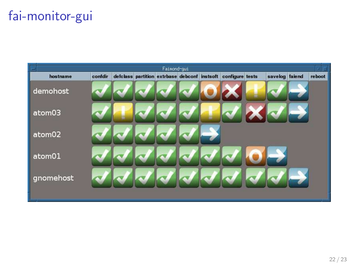### fai-monitor-gui